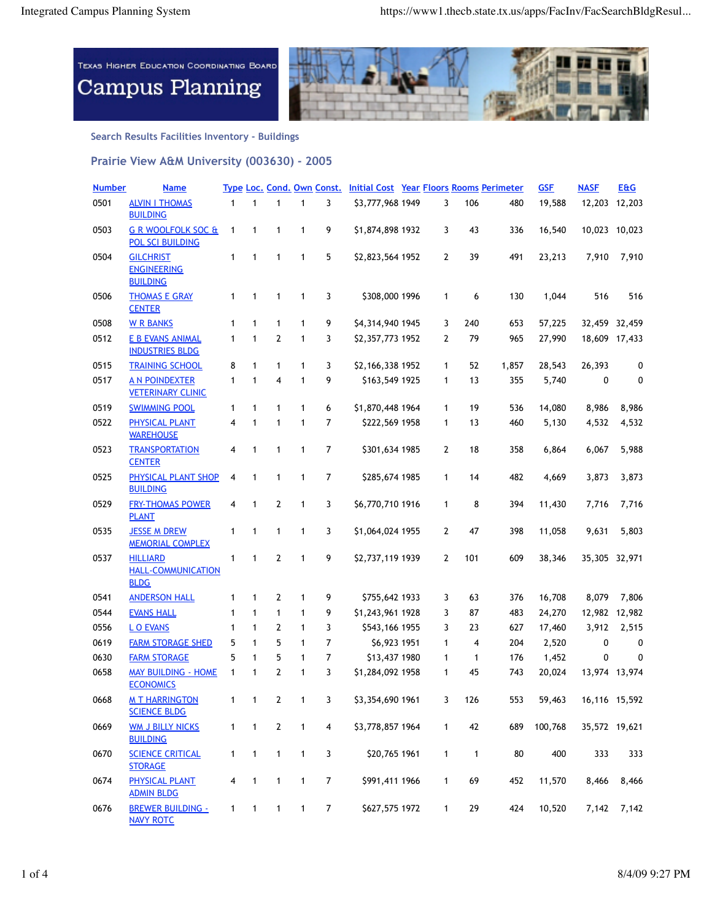

**Search Results Facilities Inventory - Buildings**

**Prairie View A&M University (003630) - 2005**

| <b>Number</b> | <b>Name</b>                                                 |              |              |                |                          |                  | Type Loc. Cond. Own Const. Initial Cost Year Floors Rooms Perimeter |              |              |       | <b>GSF</b> | <b>NASE</b> | <b>E&amp;G</b> |
|---------------|-------------------------------------------------------------|--------------|--------------|----------------|--------------------------|------------------|---------------------------------------------------------------------|--------------|--------------|-------|------------|-------------|----------------|
| 0501          | <b>ALVIN I THOMAS</b><br><b>BUILDING</b>                    | $\mathbf{1}$ | $\mathbf{1}$ | 1              | $\mathbf{1}$             | 3                | \$3,777,968 1949                                                    | 3            | 106          | 480   | 19,588     | 12,203      | 12,203         |
| 0503          | <b>G R WOOLFOLK SOC &amp;</b><br><b>POL SCI BUILDING</b>    | 1            | 1            | 1              | 1                        | 9                | \$1,874,898 1932                                                    | 3            | 43           | 336   | 16,540     |             | 10,023 10,023  |
| 0504          | <b>GILCHRIST</b><br><b>ENGINEERING</b><br><b>BUILDING</b>   | 1            | 1            | 1              | 1                        | 5                | \$2,823,564 1952                                                    | 2            | 39           | 491   | 23,213     | 7,910       | 7,910          |
| 0506          | <b>THOMAS E GRAY</b><br><b>CENTER</b>                       | 1            | 1            | 1              | 1                        | 3                | \$308,000 1996                                                      | 1            | 6            | 130   | 1,044      | 516         | 516            |
| 0508          | <b>W R BANKS</b>                                            | 1            | $\mathbf{1}$ | 1              | $\mathbf{1}$             | 9                | \$4,314,940 1945                                                    | 3            | 240          | 653   | 57,225     |             | 32,459 32,459  |
| 0512          | <b>E B EVANS ANIMAL</b><br><b>INDUSTRIES BLDG</b>           | $\mathbf{1}$ | 1            | 2              | 1                        | 3                | \$2,357,773 1952                                                    | 2            | 79           | 965   | 27,990     | 18,609      | 17,433         |
| 0515          | <b>TRAINING SCHOOL</b>                                      | 8            | $\mathbf{1}$ | 1              | 1                        | 3                | \$2,166,338 1952                                                    | 1            | 52           | 1,857 | 28,543     | 26,393      | 0              |
| 0517          | <b>A N POINDEXTER</b><br><b>VETERINARY CLINIC</b>           | 1            | 1            | 4              | 1                        | 9                | \$163,549 1925                                                      | 1            | 13           | 355   | 5,740      | 0           | 0              |
| 0519          | <b>SWIMMING POOL</b>                                        | $\mathbf{1}$ | 1            | 1              | 1                        | 6                | \$1,870,448 1964                                                    | 1            | 19           | 536   | 14,080     | 8,986       | 8,986          |
| 0522          | <b>PHYSICAL PLANT</b><br><b>WAREHOUSE</b>                   | 4            | 1            | 1              | 1                        | 7                | \$222,569 1958                                                      | 1            | 13           | 460   | 5,130      | 4,532       | 4,532          |
| 0523          | <b>TRANSPORTATION</b><br><b>CENTER</b>                      | 4            | 1            | 1              | 1                        | 7                | \$301,634 1985                                                      | 2            | 18           | 358   | 6,864      | 6,067       | 5,988          |
| 0525          | PHYSICAL PLANT SHOP<br><b>BUILDING</b>                      | 4            | 1            | 1              | $\mathbf{1}$             | 7                | \$285,674 1985                                                      | 1            | 14           | 482   | 4,669      | 3,873       | 3,873          |
| 0529          | <b>FRY-THOMAS POWER</b><br><b>PLANT</b>                     | 4            | 1            | 2              | 1                        | 3                | \$6,770,710 1916                                                    | 1            | 8            | 394   | 11,430     | 7,716       | 7,716          |
| 0535          | <b>JESSE M DREW</b><br><b>MEMORIAL COMPLEX</b>              | 1            | 1            | 1              | 1                        | 3                | \$1,064,024 1955                                                    | 2            | 47           | 398   | 11,058     | 9,631       | 5,803          |
| 0537          | <b>HILLIARD</b><br><b>HALL-COMMUNICATION</b><br><b>BLDG</b> | 1            | 1            | $\overline{2}$ | 1                        | 9                | \$2,737,119 1939                                                    | 2            | 101          | 609   | 38,346     | 35,305      | 32,971         |
| 0541          | <b>ANDERSON HALL</b>                                        | 1            | 1            | 2              | 1                        | 9                | \$755,642 1933                                                      | 3            | 63           | 376   | 16,708     | 8,079       | 7,806          |
| 0544          | <b>EVANS HALL</b>                                           | $\mathbf{1}$ | $\mathbf{1}$ | 1              | 1                        | 9                | \$1,243,961 1928                                                    | 3            | 87           | 483   | 24,270     |             | 12,982 12,982  |
| 0556          | <b>LO EVANS</b>                                             | 1            | 1            | 2              | 1                        | 3                | \$543,166 1955                                                      | 3            | 23           | 627   | 17,460     | 3,912       | 2,515          |
| 0619          | <b>FARM STORAGE SHED</b>                                    | 5            | 1            | 5              | $\mathbf{1}$             | 7                | \$6,923 1951                                                        | 1            | 4            | 204   | 2,520      | 0           | 0              |
| 0630          | <b>FARM STORAGE</b>                                         | 5            | $\mathbf{1}$ | 5              | $\mathbf{1}$             | 7                | \$13,437 1980                                                       | 1            | 1            | 176   | 1,452      | 0           | 0              |
| 0658          | <b>MAY BUILDING - HOME</b><br><b>ECONOMICS</b>              | $\mathbf{1}$ | 1            | 2              | 1                        | 3                | \$1,284,092 1958                                                    | 1            | 45           | 743   | 20,024     |             | 13,974 13,974  |
| 0668          | <b>MT HARRINGTON</b><br><b>SCIENCE BLDG</b>                 | $\mathbf{1}$ | $\mathbf{1}$ | $\mathbf{2}$   | $\mathbf{1}$             | 3                | \$3,354,690 1961                                                    | 3            | 126          | 553   | 59,463     |             | 16,116 15,592  |
| 0669          | <b>WM J BILLY NICKS</b><br><b>BUILDING</b>                  | $\mathbf{1}$ | $\mathbf{1}$ | $\overline{2}$ | $\mathbf{1}$             | 4                | \$3,778,857 1964                                                    | $\mathbf{1}$ | 42           | 689   | 100,768    |             | 35,572 19,621  |
| 0670          | <b>SCIENCE CRITICAL</b><br><b>STORAGE</b>                   | $\mathbf{1}$ | $\mathbf{1}$ | 1              | $\mathbf{1}$             | 3                | \$20,765 1961                                                       | $\mathbf{1}$ | $\mathbf{1}$ | 80    | 400        | 333         | 333            |
| 0674          | <b>PHYSICAL PLANT</b><br><b>ADMIN BLDG</b>                  | 4            | $\mathbf{1}$ | $\mathbf{1}$   | $\mathbf{1}$             | $\boldsymbol{7}$ | \$991,411 1966                                                      | 1            | 69           | 452   | 11,570     | 8,466       | 8,466          |
| 0676          | <b>BREWER BUILDING -</b><br><b>NAVY ROTC</b>                | 1            | $\mathbf{1}$ | $\mathbf{1}$   | $\overline{\phantom{1}}$ | $\overline{7}$   | \$627,575 1972                                                      | $\mathbf{1}$ | 29           | 424   | 10,520     | 7,142       | 7,142          |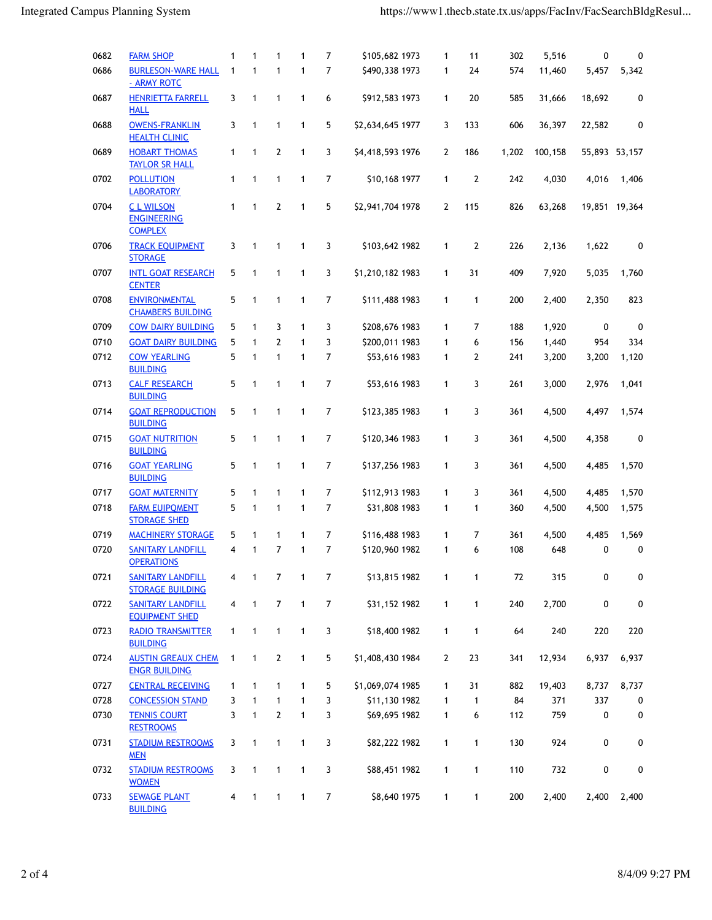| 0682 | <b>FARM SHOP</b>                                        | 1            | $\mathbf{1}$ | 1              | 1            | 7              | \$105,682 1973   | 1              | 11             | 302   | 5,516   | 0             | 0           |
|------|---------------------------------------------------------|--------------|--------------|----------------|--------------|----------------|------------------|----------------|----------------|-------|---------|---------------|-------------|
| 0686 | <b>BURLESON-WARE HALL</b>                               | $\mathbf{1}$ | $\mathbf{1}$ | $\mathbf{1}$   | $\mathbf{1}$ | 7              | \$490,338 1973   | 1              | 24             | 574   | 11,460  | 5,457         | 5,342       |
|      | - ARMY ROTC                                             |              |              |                |              |                |                  |                |                |       |         |               |             |
| 0687 | <b>HENRIETTA FARRELL</b><br><b>HALL</b>                 | 3            | 1            | $\mathbf{1}$   | $\mathbf{1}$ | 6              | \$912,583 1973   | 1              | 20             | 585   | 31,666  | 18,692        | 0           |
| 0688 | <b>OWENS-FRANKLIN</b><br><b>HEALTH CLINIC</b>           | 3            | $\mathbf{1}$ | $\mathbf{1}$   | $\mathbf{1}$ | 5              | \$2,634,645 1977 | 3              | 133            | 606   | 36,397  | 22,582        | 0           |
| 0689 | <b>HOBART THOMAS</b><br><b>TAYLOR SR HALL</b>           | 1            | 1            | $\mathbf{2}$   | $\mathbf{1}$ | 3              | \$4,418,593 1976 | 2              | 186            | 1,202 | 100,158 | 55,893 53,157 |             |
| 0702 | <b>POLLUTION</b><br><b>LABORATORY</b>                   | $\mathbf{1}$ | $\mathbf{1}$ | $\mathbf{1}$   | $\mathbf{1}$ | $\overline{7}$ | \$10,168 1977    | 1              | $\overline{2}$ | 242   | 4,030   | 4,016         | 1,406       |
| 0704 | <b>CLWILSON</b><br><b>ENGINEERING</b><br><b>COMPLEX</b> | 1            | $\mathbf{1}$ | $\overline{2}$ | $\mathbf{1}$ | 5              | \$2,941,704 1978 | $\overline{2}$ | 115            | 826   | 63,268  | 19,851 19,364 |             |
| 0706 | <b>TRACK EQUIPMENT</b><br><b>STORAGE</b>                | 3            | $\mathbf{1}$ | $\mathbf{1}$   | $\mathbf{1}$ | 3              | \$103,642 1982   | 1              | $\mathbf{2}$   | 226   | 2,136   | 1,622         | 0           |
| 0707 | <b>INTL GOAT RESEARCH</b><br><b>CENTER</b>              | 5            | $\mathbf{1}$ | $\mathbf{1}$   | $\mathbf{1}$ | 3              | \$1,210,182 1983 | 1              | 31             | 409   | 7,920   | 5,035         | 1,760       |
| 0708 | <b>ENVIRONMENTAL</b><br><b>CHAMBERS BUILDING</b>        | 5            | 1            | $\mathbf{1}$   | 1            | $\overline{7}$ | \$111,488 1983   | 1              | 1              | 200   | 2,400   | 2,350         | 823         |
| 0709 | <b>COW DAIRY BUILDING</b>                               | 5            | $\mathbf{1}$ | 3              | $\mathbf{1}$ | 3              | \$208,676 1983   | 1              | 7              | 188   | 1,920   | 0             | 0           |
| 0710 | <b>GOAT DAIRY BUILDING</b>                              | 5            | $\mathbf{1}$ | $\overline{2}$ | $\mathbf{1}$ | 3              | \$200,011 1983   | 1              | 6              | 156   | 1,440   | 954           | 334         |
| 0712 | <b>COW YEARLING</b><br><b>BUILDING</b>                  | 5            | 1            | $\mathbf{1}$   | $\mathbf{1}$ | 7              | \$53,616 1983    | 1              | 2              | 241   | 3,200   | 3,200         | 1,120       |
| 0713 | <b>CALF RESEARCH</b><br><b>BUILDING</b>                 | 5            | $\mathbf{1}$ | $\mathbf{1}$   | $\mathbf{1}$ | 7              | \$53,616 1983    | 1              | 3              | 261   | 3,000   | 2,976         | 1,041       |
| 0714 | <b>GOAT REPRODUCTION</b><br><b>BUILDING</b>             | 5            | 1            | 1              | 1            | 7              | \$123,385 1983   | 1              | 3              | 361   | 4,500   | 4,497         | 1,574       |
| 0715 | <b>GOAT NUTRITION</b><br><b>BUILDING</b>                | 5            | $\mathbf{1}$ | $\mathbf{1}$   | $\mathbf{1}$ | 7              | \$120,346 1983   | 1              | 3              | 361   | 4,500   | 4,358         | 0           |
| 0716 | <b>GOAT YEARLING</b><br><b>BUILDING</b>                 | 5            | 1            | $\mathbf{1}$   | $\mathbf{1}$ | 7              | \$137,256 1983   | 1              | 3              | 361   | 4,500   | 4,485         | 1,570       |
| 0717 | <b>GOAT MATERNITY</b>                                   | 5            | $\mathbf{1}$ | $\mathbf{1}$   | $\mathbf{1}$ | 7              | \$112,913 1983   | 1              | 3              | 361   | 4,500   | 4,485         | 1,570       |
| 0718 | <b>FARM EUIPQMENT</b><br><b>STORAGE SHED</b>            | 5            | $\mathbf{1}$ | $\mathbf{1}$   | $\mathbf{1}$ | $\overline{7}$ | \$31,808 1983    | 1              | 1              | 360   | 4,500   | 4,500         | 1,575       |
| 0719 | <b>MACHINERY STORAGE</b>                                | 5            | 1            | $\mathbf{1}$   | 1            | 7              | \$116,488 1983   | 1              | 7              | 361   | 4,500   | 4,485         | 1,569       |
| 0720 | <b>SANITARY LANDFILL</b><br><b>OPERATIONS</b>           | 4            | $\mathbf{1}$ | $\overline{7}$ | $\mathbf{1}$ | 7              | \$120,960 1982   | 1              | 6              | 108   | 648     | 0             | $\mathbf 0$ |
| 0721 | <b>SANITARY LANDFILL</b><br><b>STORAGE BUILDING</b>     | 4            | 1            | 7              | 1            | 7              | \$13,815 1982    | 1              | 1              | 72    | 315     | 0             | 0           |
| 0722 | <b>SANITARY LANDFILL</b><br><b>EQUIPMENT SHED</b>       | 4            | $\mathbf{1}$ | $\overline{7}$ | $\mathbf{1}$ | $\overline{7}$ | \$31,152 1982    | 1              | 1              | 240   | 2,700   | 0             | 0           |
| 0723 | <b>RADIO TRANSMITTER</b><br><b>BUILDING</b>             | 1            | $\mathbf{1}$ | 1              | 1            | 3              | \$18,400 1982    | 1              | 1              | 64    | 240     | 220           | 220         |
| 0724 | <b>AUSTIN GREAUX CHEM</b><br><b>ENGR BUILDING</b>       | 1            | $\mathbf{1}$ | $\mathbf{2}$   | 1            | 5              | \$1,408,430 1984 | 2              | 23             | 341   | 12,934  | 6,937         | 6,937       |
| 0727 | <b>CENTRAL RECEIVING</b>                                | 1            | 1            | 1              | $\mathbf{1}$ | 5              | \$1,069,074 1985 | 1              | 31             | 882   | 19,403  | 8,737         | 8,737       |
| 0728 | <b>CONCESSION STAND</b>                                 | 3            | 1            | 1              | $\mathbf{1}$ | 3              | \$11,130 1982    | 1              | $\mathbf{1}$   | 84    | 371     | 337           | 0           |
| 0730 | <b>TENNIS COURT</b><br><b>RESTROOMS</b>                 | 3            | $\mathbf{1}$ | $\mathbf{2}$   | $\mathbf{1}$ | 3              | \$69,695 1982    | 1              | 6              | 112   | 759     | 0             | 0           |
| 0731 | <b>STADIUM RESTROOMS</b><br><b>MEN</b>                  | 3            | 1            | 1              | 1            | 3              | \$82,222 1982    | 1              | 1              | 130   | 924     | 0             | 0           |
| 0732 | <b>STADIUM RESTROOMS</b><br><b>WOMEN</b>                | 3            | $\mathbf{1}$ | $\mathbf{1}$   | $\mathbf{1}$ | 3              | \$88,451 1982    | $\mathbf{1}$   | 1              | 110   | 732     | 0             | 0           |
| 0733 | <b>SEWAGE PLANT</b><br><b>BUILDING</b>                  | 4            | $\mathbf{1}$ | $\mathbf{1}$   | 1            | $\overline{7}$ | \$8,640 1975     | $\mathbf{1}$   | 1              | 200   | 2,400   | 2,400         | 2,400       |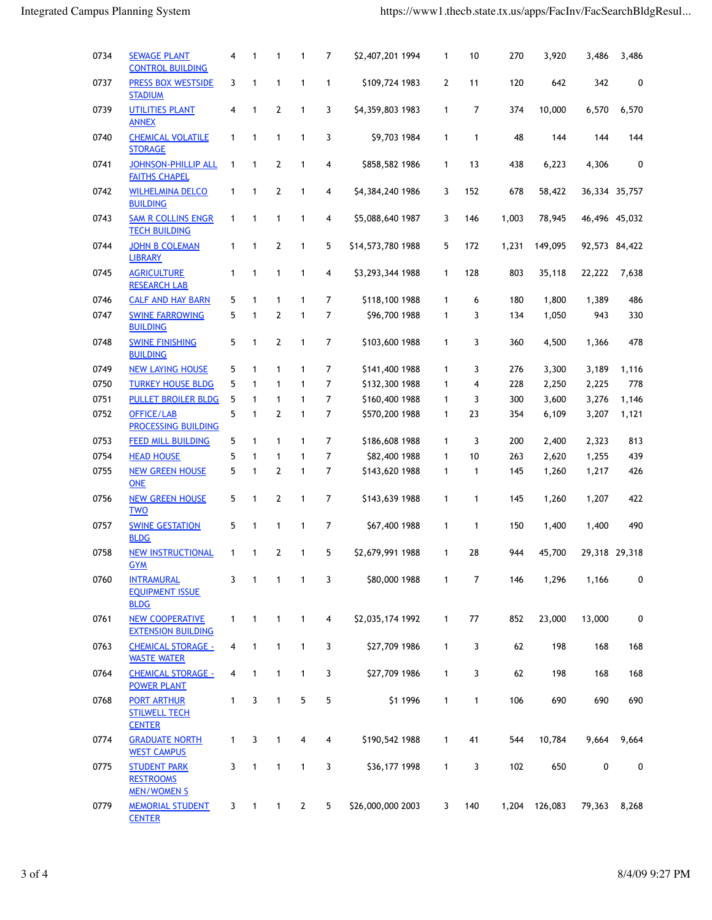| 0734 | <b>SEWAGE PLANT</b><br><b>CONTROL BUILDING</b>                | 4                       | $\mathbf{1}$             | 1              | 1              | 7              | \$2,407,201 1994  | 1            | 10             | 270   | 3,920         | 3,486         | 3,486         |
|------|---------------------------------------------------------------|-------------------------|--------------------------|----------------|----------------|----------------|-------------------|--------------|----------------|-------|---------------|---------------|---------------|
| 0737 | <b>PRESS BOX WESTSIDE</b><br><b>STADIUM</b>                   | 3                       | 1                        | $\mathbf{1}$   | 1              | 1              | \$109,724 1983    | 2            | 11             | 120   | 642           | 342           | 0             |
| 0739 | <b>UTILITIES PLANT</b><br><b>ANNEX</b>                        | 4                       | 1                        | $\overline{2}$ | 1              | 3              | \$4,359,803 1983  | 1            | 7              | 374   | 10,000        | 6,570         | 6,570         |
| 0740 | <b>CHEMICAL VOLATILE</b><br><b>STORAGE</b>                    | $\mathbf{1}$            | 1                        | 1              | 1              | 3              | \$9,703 1984      | $\mathbf{1}$ | $\mathbf{1}$   | 48    | 144           | 144           | 144           |
| 0741 | <b>JOHNSON-PHILLIP ALL</b><br><b>FAITHS CHAPEL</b>            | 1                       | 1                        | $\overline{2}$ | 1              | 4              | \$858,582 1986    | 1            | 13             | 438   | 6,223         | 4,306         | 0             |
| 0742 | <b>WILHELMINA DELCO</b><br><b>BUILDING</b>                    | 1                       | 1                        | $\overline{2}$ | 1              | 4              | \$4,384,240 1986  | 3            | 152            | 678   | 58,422        |               | 36,334 35,757 |
| 0743 | <b>SAM R COLLINS ENGR</b><br><b>TECH BUILDING</b>             | $\mathbf{1}$            | $\mathbf{1}$             | 1              | 1              | 4              | \$5,088,640 1987  | 3            | 146            | 1,003 | 78,945        |               | 46,496 45,032 |
| 0744 | <b>JOHN B COLEMAN</b><br><b>LIBRARY</b>                       | $\mathbf{1}$            | 1                        | $\overline{2}$ | 1              | 5              | \$14,573,780 1988 | 5            | 172            | 1,231 | 149,095       | 92,573 84,422 |               |
| 0745 | <b>AGRICULTURE</b><br><b>RESEARCH LAB</b>                     | $\mathbf{1}$            | $\mathbf{1}$             | 1              | 1              | 4              | \$3,293,344 1988  | 1            | 128            | 803   | 35,118        | 22,222        | 7,638         |
| 0746 | <b>CALF AND HAY BARN</b>                                      | 5                       | $\mathbf{1}$             | 1              | 1              | 7              | \$118,100 1988    | 1            | 6              | 180   | 1,800         | 1,389         | 486           |
| 0747 | <b>SWINE FARROWING</b><br><b>BUILDING</b>                     | 5                       | 1                        | 2              | $\mathbf{1}$   | $\overline{7}$ | \$96,700 1988     | $\mathbf{1}$ | 3              | 134   | 1,050         | 943           | 330           |
| 0748 | <b>SWINE FINISHING</b><br><b>BUILDING</b>                     | 5                       | 1                        | 2              | 1              | 7              | \$103,600 1988    | 1            | 3              | 360   | 4,500         | 1,366         | 478           |
| 0749 | <b>NEW LAYING HOUSE</b>                                       | 5                       | 1                        | 1              | 1              | 7              | \$141,400 1988    | 1            | 3              | 276   | 3,300         | 3,189         | 1,116         |
| 0750 | <b>TURKEY HOUSE BLDG</b>                                      | 5                       | $\mathbf{1}$             | $\mathbf{1}$   | 1              | $\overline{7}$ | \$132,300 1988    | 1            | 4              | 228   | 2,250         | 2,225         | 778           |
| 0751 | <b>PULLET BROILER BLDG</b>                                    | 5                       | $\mathbf{1}$             | $\mathbf{1}$   | 1              | $\overline{7}$ | \$160,400 1988    | 1            | 3              | 300   | 3,600         | 3,276         | 1,146         |
| 0752 | OFFICE/LAB<br>PROCESSING BUILDING                             | 5                       | $\mathbf{1}$             | $\overline{2}$ | 1              | $\overline{7}$ | \$570,200 1988    | $\mathbf{1}$ | 23             | 354   | 6,109         | 3,207         | 1,121         |
| 0753 | <b>FEED MILL BUILDING</b>                                     | 5                       | $\mathbf{1}$             | $\mathbf{1}$   | 1              | 7              | \$186,608 1988    | 1            | 3              | 200   | 2,400         | 2,323         | 813           |
| 0754 | <b>HEAD HOUSE</b>                                             | 5                       | $\mathbf{1}$             | $\mathbf{1}$   | $\mathbf{1}$   | $\overline{7}$ | \$82,400 1988     | $\mathbf{1}$ | 10             | 263   | 2,620         | 1,255         | 439           |
| 0755 | <b>NEW GREEN HOUSE</b><br><b>ONE</b>                          | 5                       | 1                        | $\overline{2}$ | 1              | $\overline{7}$ | \$143,620 1988    | 1            | $\mathbf{1}$   | 145   | 1,260         | 1,217         | 426           |
| 0756 | <b>NEW GREEN HOUSE</b><br><b>TWO</b>                          | 5                       | 1                        | $\overline{2}$ | 1              | $\overline{7}$ | \$143,639 1988    | $\mathbf{1}$ | 1              | 145   | 1,260         | 1,207         | 422           |
| 0757 | <b>SWINE GESTATION</b><br><b>BLDG</b>                         | 5                       | $\mathbf{1}$             | $\mathbf{1}$   | 1              | 7              | \$67,400 1988     | $\mathbf{1}$ | 1              | 150   | 1,400         | 1,400         | 490           |
| 0758 | <b>NEW INSTRUCTIONAL</b><br><b>GYM</b>                        | $\mathbf{1}$            | 1                        | $\overline{2}$ | 1              | 5              | \$2,679,991 1988  | $\mathbf{1}$ | 28             | 944   | 45,700        |               | 29,318 29,318 |
| 0760 | <b>INTRAMURAL</b><br><b>EQUIPMENT ISSUE</b><br><b>BLDG</b>    | 3                       | $\overline{\phantom{a}}$ | 1              | $\mathbf{1}$   | 3              | \$80,000 1988     | 1            | $\overline{7}$ | 146   | 1,296         | 1,166         | 0             |
| 0761 | <b>NEW COOPERATIVE</b><br><b>EXTENSION BUILDING</b>           | $\mathbf{1}$            | 1                        | $\mathbf{1}$   | $\mathbf{1}$   | 4              | \$2,035,174 1992  | $\mathbf{1}$ | 77             | 852   | 23,000        | 13,000        | 0             |
| 0763 | <b>CHEMICAL STORAGE -</b><br><b>WASTE WATER</b>               | $\overline{\mathbf{4}}$ | 1                        | $\mathbf{1}$   | $\mathbf{1}$   | 3              | \$27,709 1986     | $\mathbf{1}$ | 3              | 62    | 198           | 168           | 168           |
| 0764 | <b>CHEMICAL STORAGE -</b><br><b>POWER PLANT</b>               | 4                       | 1                        | $\mathbf{1}$   | $\overline{1}$ | 3              | \$27,709 1986     | $\mathbf{1}$ | 3              | 62    | 198           | 168           | 168           |
| 0768 | <b>PORT ARTHUR</b><br><b>STILWELL TECH</b><br><b>CENTER</b>   | $\mathbf{1}$            | 3                        | $\mathbf{1}$   | 5              | 5              | \$1 1996          | $\mathbf{1}$ | $\mathbf{1}$   | 106   | 690           | 690           | 690           |
| 0774 | <b>GRADUATE NORTH</b><br><b>WEST CAMPUS</b>                   | $\mathbf{1}$            | 3                        | $\mathbf{1}$   | 4              | 4              | \$190,542 1988    | $\mathbf{1}$ | 41             | 544   | 10,784        | 9,664         | 9,664         |
| 0775 | <b>STUDENT PARK</b><br><b>RESTROOMS</b><br><b>MEN/WOMEN S</b> | 3                       | $\mathbf{1}$             | $\mathbf{1}$   | $\mathbf{1}$   | 3              | \$36,177 1998     | $\mathbf{1}$ | 3              | 102   | 650           | 0             | 0             |
| 0779 | <b>MEMORIAL STUDENT</b><br><b>CENTER</b>                      | 3                       | $\overline{1}$           | $\overline{1}$ | $\overline{2}$ | 5              | \$26,000,000 2003 | 3            | 140            |       | 1,204 126,083 | 79,363        | 8,268         |